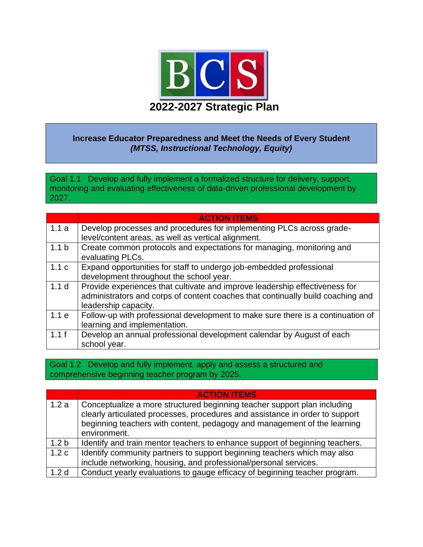

### **Increase Educator Preparedness and Meet the Needs of Every Student** *(MTSS, Instructional Technology, Equity)*

Goal 1.1 Develop and fully implement a formalized structure for delivery, support, monitoring and evaluating effectiveness of data-driven professional development by 2027.

|                  | <b>ACTION ITEMS</b>                                                                       |
|------------------|-------------------------------------------------------------------------------------------|
| 1.1a             | Develop processes and procedures for implementing PLCs across grade-                      |
|                  | level/content areas, as well as vertical alignment.                                       |
| 1.1 <sub>b</sub> | Create common protocols and expectations for managing, monitoring and<br>evaluating PLCs. |
| 1.1c             | Expand opportunities for staff to undergo job-embedded professional                       |
|                  | development throughout the school year.                                                   |
| 1.1 <sub>d</sub> | Provide experiences that cultivate and improve leadership effectiveness for               |
|                  | administrators and corps of content coaches that continually build coaching and           |
|                  | leadership capacity.                                                                      |
| 1.1e             | Follow-up with professional development to make sure there is a continuation of           |
|                  | learning and implementation.                                                              |
| 1.1f             | Develop an annual professional development calendar by August of each                     |
|                  | school year.                                                                              |

#### Goal 1.2 Develop and fully implement, apply and assess a structured and comprehensive beginning teacher program by 2025.

|                  | <b>ACTION ITEMS</b>                                                          |
|------------------|------------------------------------------------------------------------------|
| 1.2a             | Conceptualize a more structured beginning teacher support plan including     |
|                  | clearly articulated processes, procedures and assistance in order to support |
|                  | beginning teachers with content, pedagogy and management of the learning     |
|                  | environment.                                                                 |
| 1.2 <sub>b</sub> | Identify and train mentor teachers to enhance support of beginning teachers. |
| 1.2c             | Identify community partners to support beginning teachers which may also     |
|                  | include networking, housing, and professional/personal services.             |
| $\vert$ 1.2 d    | Conduct yearly evaluations to gauge efficacy of beginning teacher program.   |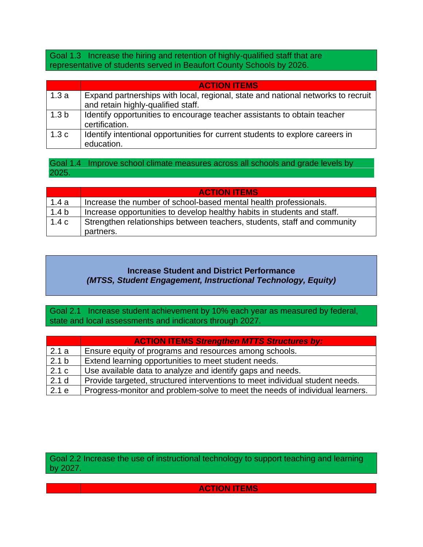Goal 1.3 Increase the hiring and retention of highly-qualified staff that are representative of students served in Beaufort County Schools by 2026.

|                  | <b>ACTION ITEMS</b>                                                                                                    |
|------------------|------------------------------------------------------------------------------------------------------------------------|
| 1.3a             | Expand partnerships with local, regional, state and national networks to recruit<br>and retain highly-qualified staff. |
| 1.3 <sub>b</sub> | Identify opportunities to encourage teacher assistants to obtain teacher<br>certification.                             |
| 1.3c             | Identify intentional opportunities for current students to explore careers in<br>education.                            |

Goal 1.4 Improve school climate measures across all schools and grade levels by 2025.

|                  | <b>ACTION ITEMS</b>                                                      |
|------------------|--------------------------------------------------------------------------|
| 1.4a             | Increase the number of school-based mental health professionals.         |
| 1.4 <sub>b</sub> | Increase opportunities to develop healthy habits in students and staff.  |
| 1.4c             | Strengthen relationships between teachers, students, staff and community |
|                  | partners.                                                                |

# **Increase Student and District Performance** *(MTSS, Student Engagement, Instructional Technology, Equity)*

Goal 2.1 Increase student achievement by 10% each year as measured by federal, state and local assessments and indicators through 2027.

|                | <b>ACTION ITEMS Strengthen MTTS Structures by:</b>                           |
|----------------|------------------------------------------------------------------------------|
| 2.1a           | Ensure equity of programs and resources among schools.                       |
| $\sqrt{2.1} b$ | Extend learning opportunities to meet student needs.                         |
| 2.1 c          | Use available data to analyze and identify gaps and needs.                   |
| 2.1 d          | Provide targeted, structured interventions to meet individual student needs. |
| 2.1e           | Progress-monitor and problem-solve to meet the needs of individual learners. |

Goal 2.2 Increase the use of instructional technology to support teaching and learning by 2027.

**ACTION ITEMS**